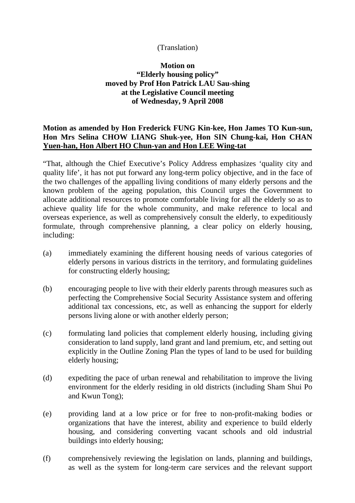## (Translation)

## **Motion on "Elderly housing policy" moved by Prof Hon Patrick LAU Sau-shing at the Legislative Council meeting of Wednesday, 9 April 2008**

## **Motion as amended by Hon Frederick FUNG Kin-kee, Hon James TO Kun-sun, Hon Mrs Selina CHOW LIANG Shuk-yee, Hon SIN Chung-kai, Hon CHAN Yuen-han, Hon Albert HO Chun-yan and Hon LEE Wing-tat**

"That, although the Chief Executive's Policy Address emphasizes 'quality city and quality life', it has not put forward any long-term policy objective, and in the face of the two challenges of the appalling living conditions of many elderly persons and the known problem of the ageing population, this Council urges the Government to allocate additional resources to promote comfortable living for all the elderly so as to achieve quality life for the whole community, and make reference to local and overseas experience, as well as comprehensively consult the elderly, to expeditiously formulate, through comprehensive planning, a clear policy on elderly housing, including:

- (a) immediately examining the different housing needs of various categories of elderly persons in various districts in the territory, and formulating guidelines for constructing elderly housing;
- (b) encouraging people to live with their elderly parents through measures such as perfecting the Comprehensive Social Security Assistance system and offering additional tax concessions, etc, as well as enhancing the support for elderly persons living alone or with another elderly person;
- (c) formulating land policies that complement elderly housing, including giving consideration to land supply, land grant and land premium, etc, and setting out explicitly in the Outline Zoning Plan the types of land to be used for building elderly housing;
- (d) expediting the pace of urban renewal and rehabilitation to improve the living environment for the elderly residing in old districts (including Sham Shui Po and Kwun Tong);
- (e) providing land at a low price or for free to non-profit-making bodies or organizations that have the interest, ability and experience to build elderly housing, and considering converting vacant schools and old industrial buildings into elderly housing;
- (f) comprehensively reviewing the legislation on lands, planning and buildings, as well as the system for long-term care services and the relevant support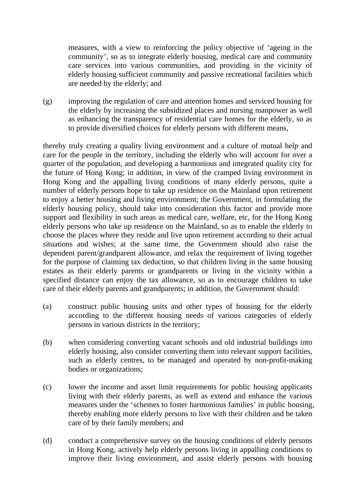measures, with a view to reinforcing the policy objective of 'ageing in the community', so as to integrate elderly housing, medical care and community care services into various communities, and providing in the vicinity of elderly housing sufficient community and passive recreational facilities which are needed by the elderly; and

(g) improving the regulation of care and attention homes and serviced housing for the elderly by increasing the subsidized places and nursing manpower as well as enhancing the transparency of residential care homes for the elderly, so as to provide diversified choices for elderly persons with different means,

thereby truly creating a quality living environment and a culture of mutual help and care for the people in the territory, including the elderly who will account for over a quarter of the population, and developing a harmonious and integrated quality city for the future of Hong Kong; in addition, in view of the cramped living environment in Hong Kong and the appalling living conditions of many elderly persons, quite a number of elderly persons hope to take up residence on the Mainland upon retirement to enjoy a better housing and living environment; the Government, in formulating the elderly housing policy, should take into consideration this factor and provide more support and flexibility in such areas as medical care, welfare, etc, for the Hong Kong elderly persons who take up residence on the Mainland, so as to enable the elderly to choose the places where they reside and live upon retirement according to their actual situations and wishes; at the same time, the Government should also raise the dependent parent/grandparent allowance, and relax the requirement of living together for the purpose of claiming tax deduction, so that children living in the same housing estates as their elderly parents or grandparents or living in the vicinity within a specified distance can enjoy the tax allowance, so as to encourage children to take care of their elderly parents and grandparents; in addition, the Government should:

- (a) construct public housing units and other types of housing for the elderly according to the different housing needs of various categories of elderly persons in various districts in the territory;
- (b) when considering converting vacant schools and old industrial buildings into elderly housing, also consider converting them into relevant support facilities, such as elderly centres, to be managed and operated by non-profit-making bodies or organizations;
- (c) lower the income and asset limit requirements for public housing applicants living with their elderly parents, as well as extend and enhance the various measures under the 'schemes to foster harmonious families' in public housing, thereby enabling more elderly persons to live with their children and be taken care of by their family members; and
- (d) conduct a comprehensive survey on the housing conditions of elderly persons in Hong Kong, actively help elderly persons living in appalling conditions to improve their living environment, and assist elderly persons with housing